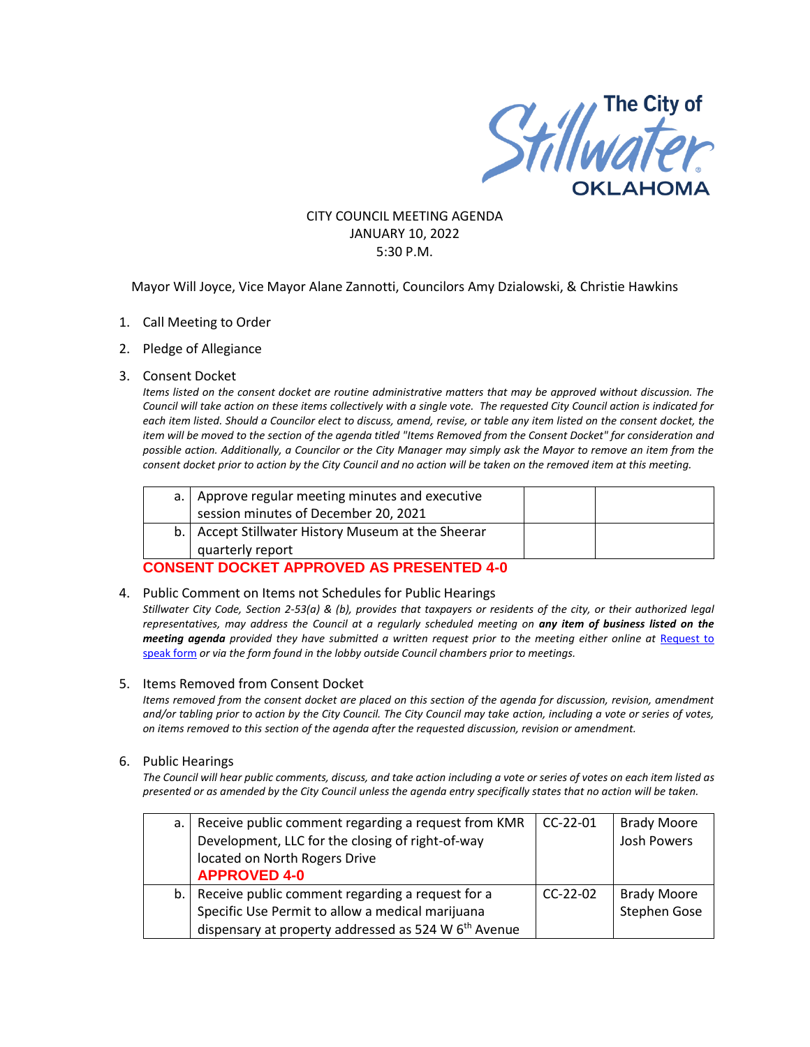

# CITY COUNCIL MEETING AGENDA JANUARY 10, 2022 5:30 P.M.

Mayor Will Joyce, Vice Mayor Alane Zannotti, Councilors Amy Dzialowski, & Christie Hawkins

- 1. Call Meeting to Order
- 2. Pledge of Allegiance

#### 3. Consent Docket

*Items listed on the consent docket are routine administrative matters that may be approved without discussion. The Council will take action on these items collectively with a single vote. The requested City Council action is indicated for each item listed. Should a Councilor elect to discuss, amend, revise, or table any item listed on the consent docket, the item will be moved to the section of the agenda titled "Items Removed from the Consent Docket" for consideration and possible action. Additionally, a Councilor or the City Manager may simply ask the Mayor to remove an item from the consent docket prior to action by the City Council and no action will be taken on the removed item at this meeting.*

| a.   Approve regular meeting minutes and executive   |  |
|------------------------------------------------------|--|
| session minutes of December 20, 2021                 |  |
| b.   Accept Stillwater History Museum at the Sheerar |  |
| quarterly report                                     |  |
|                                                      |  |

### **CONSENT DOCKET APPROVED AS PRESENTED 4-0**

4. Public Comment on Items not Schedules for Public Hearings

*Stillwater City Code, Section 2-53(a) & (b), provides that taxpayers or residents of the city, or their authorized legal representatives, may address the Council at a regularly scheduled meeting on any item of business listed on the meeting agenda provided they have submitted a written request prior to the meeting either online at Request to* [speak form](http://stillwater.org/page/home/government/mayor-city-council/meetings-agendas-minutes/online-request-to-speak-at-city-council) *or via the form found in the lobby outside Council chambers prior to meetings.*

#### 5. Items Removed from Consent Docket

*Items removed from the consent docket are placed on this section of the agenda for discussion, revision, amendment and/or tabling prior to action by the City Council. The City Council may take action, including a vote or series of votes, on items removed to this section of the agenda after the requested discussion, revision or amendment.*

#### 6. Public Hearings

*The Council will hear public comments, discuss, and take action including a vote or series of votes on each item listed as presented or as amended by the City Council unless the agenda entry specifically states that no action will be taken.*

| a. I | Receive public comment regarding a request from KMR              | $CC-22-01$ | <b>Brady Moore</b>  |
|------|------------------------------------------------------------------|------------|---------------------|
|      | Development, LLC for the closing of right-of-way                 |            | <b>Josh Powers</b>  |
|      | located on North Rogers Drive                                    |            |                     |
|      | <b>APPROVED 4-0</b>                                              |            |                     |
|      | b. Receive public comment regarding a request for a              | $CC-22-02$ | <b>Brady Moore</b>  |
|      | Specific Use Permit to allow a medical marijuana                 |            | <b>Stephen Gose</b> |
|      | dispensary at property addressed as 524 W 6 <sup>th</sup> Avenue |            |                     |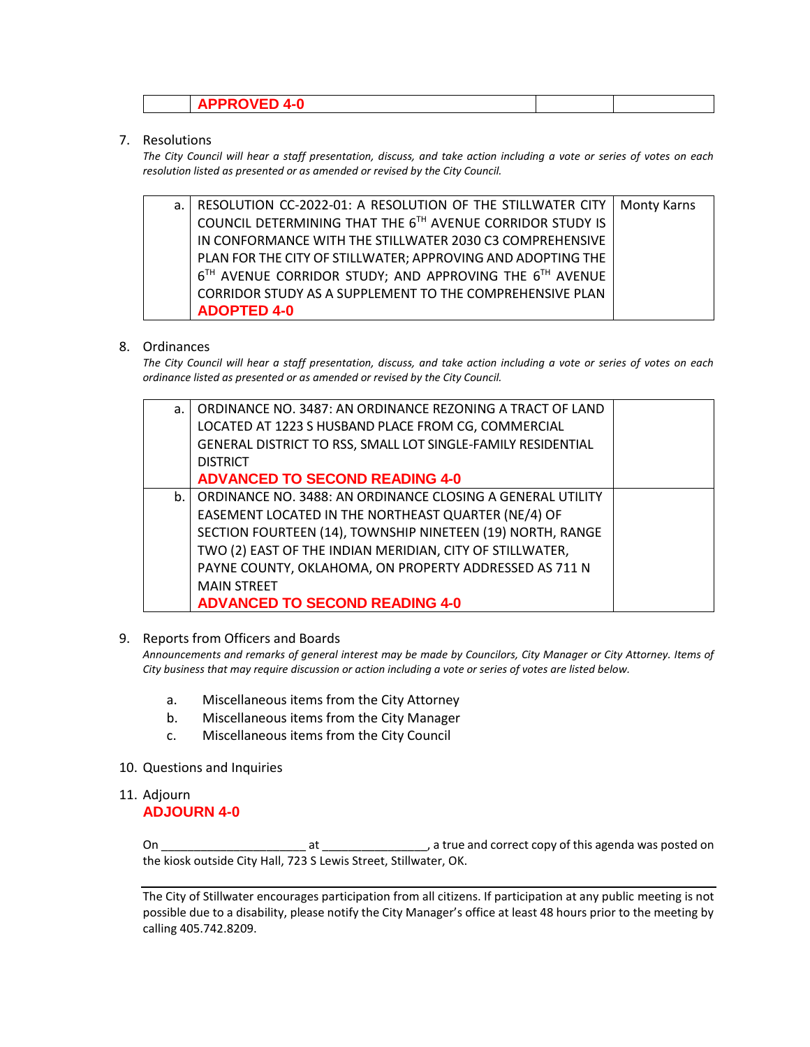| $\cdots$ . In the second state $\mathcal{A}$ |  |
|----------------------------------------------|--|
|                                              |  |

## 7. Resolutions

*The City Council will hear a staff presentation, discuss, and take action including a vote or series of votes on each resolution listed as presented or as amended or revised by the City Council.* 

| a. | RESOLUTION CC-2022-01: A RESOLUTION OF THE STILLWATER CITY  | Monty Karns |
|----|-------------------------------------------------------------|-------------|
|    | COUNCIL DETERMINING THAT THE 6TH AVENUE CORRIDOR STUDY IS   |             |
|    | IN CONFORMANCE WITH THE STILLWATER 2030 C3 COMPREHENSIVE    |             |
|    | PLAN FOR THE CITY OF STILLWATER; APPROVING AND ADOPTING THE |             |
|    | 6TH AVENUE CORRIDOR STUDY; AND APPROVING THE 6TH AVENUE     |             |
|    | CORRIDOR STUDY AS A SUPPLEMENT TO THE COMPREHENSIVE PLAN    |             |
|    | <b>ADOPTED 4-0</b>                                          |             |

## 8. Ordinances

*The City Council will hear a staff presentation, discuss, and take action including a vote or series of votes on each ordinance listed as presented or as amended or revised by the City Council.*

| ORDINANCE NO. 3487: AN ORDINANCE REZONING A TRACT OF LAND<br>a.<br>LOCATED AT 1223 S HUSBAND PLACE FROM CG, COMMERCIAL<br>GENERAL DISTRICT TO RSS, SMALL LOT SINGLE-FAMILY RESIDENTIAL<br><b>DISTRICT</b><br><b>ADVANCED TO SECOND READING 4-0</b><br>ORDINANCE NO. 3488: AN ORDINANCE CLOSING A GENERAL UTILITY<br>b.<br>EASEMENT LOCATED IN THE NORTHEAST QUARTER (NE/4) OF<br>SECTION FOURTEEN (14), TOWNSHIP NINETEEN (19) NORTH, RANGE<br>TWO (2) EAST OF THE INDIAN MERIDIAN, CITY OF STILLWATER,<br>PAYNE COUNTY, OKLAHOMA, ON PROPERTY ADDRESSED AS 711 N<br><b>MAIN STREET</b><br><b>ADVANCED TO SECOND READING 4-0</b> |  |  |
|----------------------------------------------------------------------------------------------------------------------------------------------------------------------------------------------------------------------------------------------------------------------------------------------------------------------------------------------------------------------------------------------------------------------------------------------------------------------------------------------------------------------------------------------------------------------------------------------------------------------------------|--|--|
|                                                                                                                                                                                                                                                                                                                                                                                                                                                                                                                                                                                                                                  |  |  |
|                                                                                                                                                                                                                                                                                                                                                                                                                                                                                                                                                                                                                                  |  |  |
|                                                                                                                                                                                                                                                                                                                                                                                                                                                                                                                                                                                                                                  |  |  |
|                                                                                                                                                                                                                                                                                                                                                                                                                                                                                                                                                                                                                                  |  |  |
|                                                                                                                                                                                                                                                                                                                                                                                                                                                                                                                                                                                                                                  |  |  |
|                                                                                                                                                                                                                                                                                                                                                                                                                                                                                                                                                                                                                                  |  |  |
|                                                                                                                                                                                                                                                                                                                                                                                                                                                                                                                                                                                                                                  |  |  |
|                                                                                                                                                                                                                                                                                                                                                                                                                                                                                                                                                                                                                                  |  |  |
|                                                                                                                                                                                                                                                                                                                                                                                                                                                                                                                                                                                                                                  |  |  |
|                                                                                                                                                                                                                                                                                                                                                                                                                                                                                                                                                                                                                                  |  |  |
|                                                                                                                                                                                                                                                                                                                                                                                                                                                                                                                                                                                                                                  |  |  |
|                                                                                                                                                                                                                                                                                                                                                                                                                                                                                                                                                                                                                                  |  |  |

### 9. Reports from Officers and Boards

*Announcements and remarks of general interest may be made by Councilors, City Manager or City Attorney. Items of City business that may require discussion or action including a vote or series of votes are listed below.*

- a. Miscellaneous items from the City Attorney
- b. Miscellaneous items from the City Manager
- c. Miscellaneous items from the City Council
- 10. Questions and Inquiries
- 11. Adjourn **ADJOURN 4-0**

On \_\_\_\_\_\_\_\_\_\_\_\_\_\_\_\_\_\_\_\_\_\_ at \_\_\_\_\_\_\_\_\_\_\_\_\_\_\_\_, a true and correct copy of this agenda was posted on the kiosk outside City Hall, 723 S Lewis Street, Stillwater, OK.

The City of Stillwater encourages participation from all citizens. If participation at any public meeting is not possible due to a disability, please notify the City Manager's office at least 48 hours prior to the meeting by calling 405.742.8209.